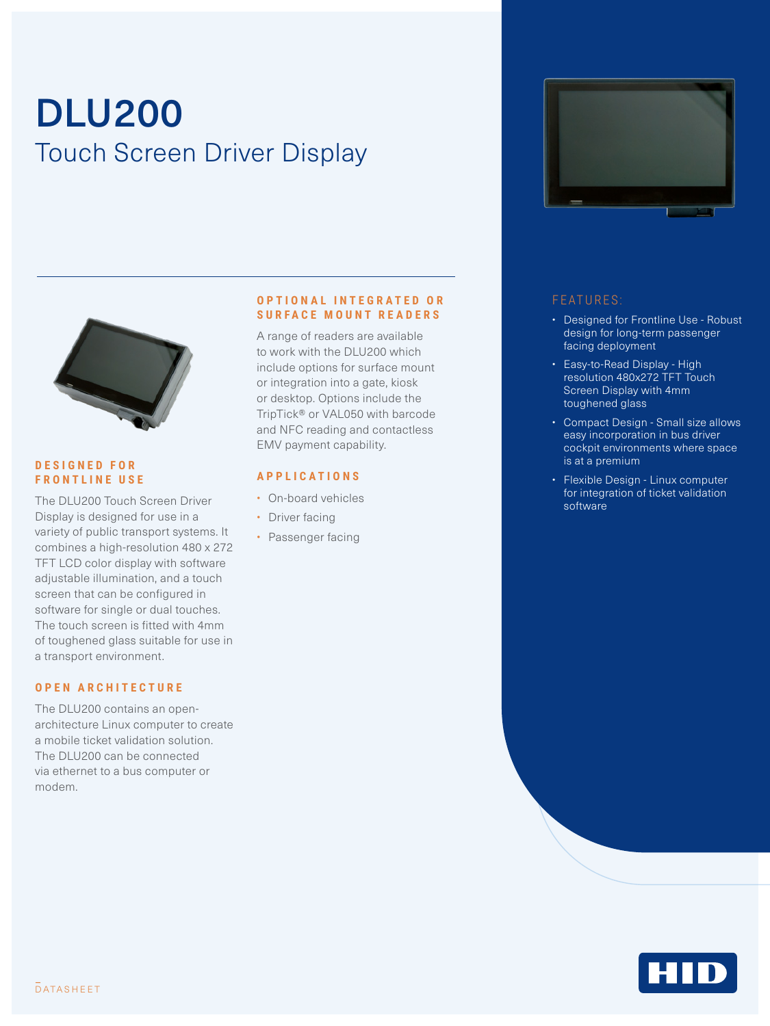# DLU200 Touch Screen Driver Display





- Designed for Frontline Use Robust design for long-term passenger facing deployment
- Easy-to-Read Display High resolution 480x272 TFT Touch Screen Display with 4mm toughened glass
- Compact Design Small size allows easy incorporation in bus driver cockpit environments where space is at a premium
- Flexible Design Linux computer for integration of ticket validation software



#### **D E S I G N E D F O R FRONTLINE USE**

The DLU200 Touch Screen Driver Display is designed for use in a variety of public transport systems. It combines a high-resolution 480 x 272 TFT LCD color display with software adjustable illumination, and a touch screen that can be configured in software for single or dual touches. The touch screen is fitted with 4mm of toughened glass suitable for use in a transport environment.

#### **O P E N A R C H I T E C T U R E**

The DLU200 contains an openarchitecture Linux computer to create a mobile ticket validation solution. The DLU200 can be connected via ethernet to a bus computer or modem.

#### **O P T I O N A L I N T E G R A T E D O R SURFACE MOUNT READERS**

A range of readers are available to work with the DLU200 which include options for surface mount or integration into a gate, kiosk or desktop. Options include the TripTick® or VAL050 with barcode and NFC reading and contactless EMV payment capability.

#### **APPLICATIONS**

- On-board vehicles
- Driver facing
- Passenger facing